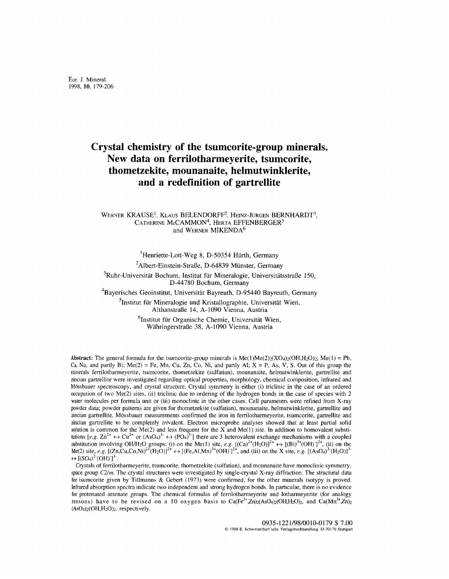# **Crystal chemistry of the tsumcorite-group minerals. New data on ferrilotharmeyerite, tsumcorite, thometzekite, mounanaite, helmutwinklerite, and a redefinition of gartrelIite**

## WERNER KRAUSE<sup>1</sup>, KLAUS BELENDORFF<sup>2</sup>, HEINZ-JÜRGEN BERNHARDT<sup>3</sup>, CATHERINE McCAMMON4, HERTA EFFENBERGER5 and WERNER MIKENDA<sup>6</sup>

<sup>1</sup>Henriette-Lott-Weg 8, D-50354 Hürth, Germany

<sup>2</sup>Albert-Einstein-Straße, D-64839 Münster, Germany

 $3Ruhr$ -Universität Bochum, Institut für Mineralogie, Universitätsstraße 150, D-44780 Bochum, Germany

<sup>4</sup>Bayerisches Geoinstitut, Universität Bayreuth, D-95440 Bayreuth, Germany

 $<sup>5</sup>$ Institut für Mineralogie und Kristallographie, Universität Wien,</sup> AlthanstraBe 14, A-I090 Vienna, Austria

> $6$ Institut für Organische Chemie, Universität Wien, WahringerstraBe 38, A-1090 Vienna, Austria

Abstract: The general formula for the tsumcorite-group minerals is  $Me(1)Me(2) \times 2(OH,H_2O)$ ; Me(1) = Pb, Ca, Na, and partly Bi;  $Me(2) = Fe$ , Mn, Cu, Zn, Co, Ni, and partly Al;  $X = P$ , As, V, S. Out of this group the minerals ferrilotharmeyerite, tsumcorite, thometzekite (sulfatian), mounanaite, helmutwinklerite, gartrellite and zincian gartrellite were investigated regarding optical properties, morphology, chemical composition, infrared and Mossbauer spectroscopy, and crystal structure. Crystal symmetry is either (i) triclinic in the case of an ordered occupation of two Me(2) sites, (ii) triclinic due to ordering of the hydrogen bonds in the case of species with 2 water molecules per formula unit or (iii) monoclinic in the other cases. Cell parameters were refined from X-ray powder data; powder patterns are given for thometzekite (sulfatian), mounanaite, helmutwinklerite, gartrellite and zincian gartrellite. Mossbauer measurements confirmed the iron in ferrilotharmeyerite, tsumcorite, gartrellite and zincian gartrellite to be completely trivalent. Electron microprobe analyses showed that at least partial solid solution is common for the Me(2) and less frequent for the X and Me(1) site. In addition to homovalent substitutions  $[e.g. Zn^{2+} \leftrightarrow Cu^{2+} \text{ or } (AsO_4)^3 \leftrightarrow (PO_4)^3]$  there are 3 heterovalent exchange mechanisms with a coupled substitution involving *OH*/H<sub>2</sub>O groups: (i) on the Me(1) site, *e.g.*  $[(Ca)^{2+}(H_2O)]^{2+} \leftrightarrow [(Bi)^{3+}(OH)]^{2+}$ , (ii) on the  $Me(2)$  site, *e.g.*  $[(Zn,Cu,Co,Ni)^{2+}(H_2O)]^{2+} \leftrightarrow [(Fe,Al,Mn)^{3+}(OH)]^{2+}$ , and (iii) on the X site, *e.g.*  $[(AsO_4)^{3-}(H_2O)]^{3-}$  $\leftrightarrow$   $[(SO_4)^2$ <sup>2</sup> $(OH)^{-1}$ <sup>3</sup>.

Crystals of ferrilotharmeyerite, tsumcorite, thometzekite (sulfatian), and mounanaite have monoclinic symmetry, space group *C2/m*. The crystal structures were investigated by single-crystal X-ray diffraction. The structural data for tsumcorite given by Tillmanns & Gebert (1973) were confirmed, for the other minerals isotypy is proved. Infrared absorption spectra indicate two independent and strong hydrogen bonds. In particular, there is no evidence for protonated arsenate groups. The chemical formulas of ferrilotharmeyerite and lotharmeyerite (for analogy reasons) have to be revised on a 10 oxygen basis to  $Ca(Fe^{3+},Zn)_{2}(AsO_{4})_{2}(OH,H_{2}O)_{2}$ , and  $Ca(Mn^{3+},Zn)_{2}$  $(AsO<sub>4</sub>)<sub>2</sub>(OH,H<sub>2</sub>O)<sub>2</sub>$ , respectively.

> 0935-1221/98/0010-0179 \$ 7.00 @ <sup>1998</sup> E. Schweizerbart'sche Verlagsbuchhandlung. 0-70176 Stuttgart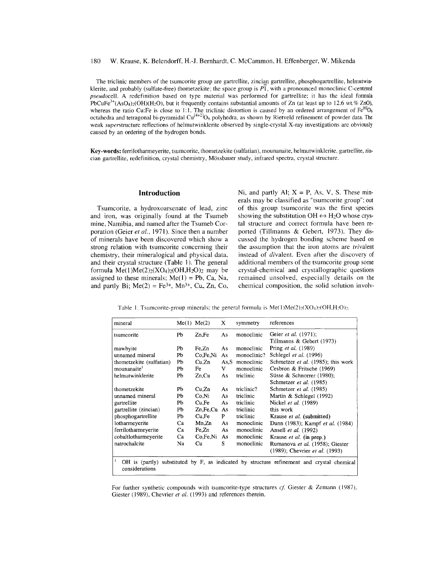### 180 W. Krause, K. Belendorff, H.-I. Bernhardt, C. McCammon, H. Effenberger, W. Mikenda

The triclinic members of the tsumcorite group are gartrellite, zincian gartrellite, phosphogartrellite, helmutwinklerite, and probably (sulfate-free) thometzekite; the space group is  $P\overline{1}$ , with a pronounced monoclinic C-centered *pseudocell.* A redefinition based on type material was performed for gartreliite; it has the ideal formula PbCuFe<sup>3+</sup>(AsO<sub>4</sub>)<sub>2</sub>(OH)(H<sub>2</sub>O), but it frequently contains substantial amounts of Zn (at least up to 12.6 wt.% ZnO), whereas the ratio Cu:Fe is close to 1:1. The triclinic distortion is caused by an ordered arrangement of  $Fe^{[6]}O_6$ octahedra and tetragonal bi-pyramidal Cu<sup>[4+2]</sup>O<sub>6</sub> polyhedra, as shown by Rietveld refinement of powder data. The weak *superstructure* reflections of helmutwinklerite observed by single-crystal X-ray investigations are obviously caused by an ordering of the hydrogen bonds.

Key-words: ferrilotharmeyerite, tsumcorite, thometzekite (sulfatian), mounanaite, helmutwinklerite, gartrellite, zincian gartrellite, redefinition, crystal chemistry, Mossbauer study, infrared spectra, crystal structure.

# **Introduction**

Tsumcorite, a hydroxoarsenate of lead, zinc and iron, was originally found at the Tsumeb mine, Namibia, and named after the Tsumeb Corporation (Geier *et aI.,* 1971). Since then a number of minerals have been discovered which show a strong relation with tsumcorite concerning their chemistry, their mineralogical and physical data, and their crystal structure (Table I). The general formula  $Me(1)Me(2)_{2}(XO_{4})_{2}(OH,H_{2}O)_{2}$  may be assigned to these minerals;  $Me(1) = Pb$ , Ca, Na, and partly Bi;  $Me(2) = Fe^{3+}$ , Mn<sup>3+</sup>, Cu<sub>r</sub>, Zn, Co,

Ni, and partly Al;  $X = P$ , As, V, S. These minerals may be classified as "tsumcorite group"; out of this group tsumcorite was the first species showing the substitution  $OH \leftrightarrow H_2O$  whose crystal structure and correct formula have been reported (Tillmanns & Gebert, 1973). They discussed the hydrogen bonding scheme based on the assumption that the iron atoms are trivalent instead of divalent. Even after the discovery of additional members of the tsumcorite group some crystal-chemical and crystallographic questions remained unsolved, especially details on the chemical composition, the solid solution involv-

Table 1. Tsumcorite-group minerals; the general formula is  $Me(1)Me(2)_2(XO_4)_2(OH,H_2O)_2$ .

| mineral                                                                                                           |    | $Me(1)$ $Me(2)$ | X     | symmetry    | references                         |  |  |  |  |
|-------------------------------------------------------------------------------------------------------------------|----|-----------------|-------|-------------|------------------------------------|--|--|--|--|
| tsumcorite                                                                                                        | Pb | Zn, Fe          | As    | monoclinic  | Geier et al. (1971);               |  |  |  |  |
|                                                                                                                   |    |                 |       |             | Tillmanns & Gebert (1973)          |  |  |  |  |
| mawbyite                                                                                                          | Pb | Fe.Zn           | As    | monoclinic  | Pring et al. (1989)                |  |  |  |  |
| unnamed mineral                                                                                                   | Pb | Co.Fe.Ni        | As    | monoclinic? | Schlegel et al. (1996)             |  |  |  |  |
| thometzekite (sulfatian)                                                                                          | Pb | Cu,Zn           | As, S | monoclinic  | Schmetzer et al. (1985); this work |  |  |  |  |
| mounanaite <sup>1</sup>                                                                                           | Pb | Fe              | v     | monoclinic  | Cesbron & Fritsche (1969)          |  |  |  |  |
| helmutwinklerite                                                                                                  | Pb | $Zn$ , $Cu$     | As    | triclinic   | Süsse & Schnorrer (1980);          |  |  |  |  |
|                                                                                                                   |    |                 |       |             | Schmetzer et al. (1985)            |  |  |  |  |
| thometzekite                                                                                                      | Pb | Cu,Zn           | As    | triclinic?  | Schmetzer et al. (1985)            |  |  |  |  |
| unnamed mineral                                                                                                   | Pb | Co.Ni           | As    | triclinic   | Martin & Schlegel (1992)           |  |  |  |  |
| gartrellite                                                                                                       | Pb | Cu.Fe           | As    | triclinic   | Nickel et al. (1989)               |  |  |  |  |
| gartrellite (zincian)                                                                                             | Pb | Zn, Fe, Cu      | As    | triclinic   | this work                          |  |  |  |  |
| phosphogartrellite                                                                                                | Pb | Cu.Fe           | P     | triclinic   | Krause et al. (submitted)          |  |  |  |  |
| lotharmeyerite                                                                                                    | Ca | Mn,Zn           | As    | monoclinic  | Dunn (1983); Kampf et al. (1984)   |  |  |  |  |
| ferrilotharmeyerite                                                                                               | Ca | Fe,Zn           | As    | monoclinic  | Ansell et al. (1992)               |  |  |  |  |
| cobaltlotharmeyerite                                                                                              | Ca | Co, Fe, Ni      | As    | monoclinic  | Krause et al. (in prep.)           |  |  |  |  |
| natrochalcite                                                                                                     | Na | Cu              | S     | monoclinic  | Rumanova et al. (1958); Giester    |  |  |  |  |
|                                                                                                                   |    |                 |       |             | (1989); Chevrier et al. (1993)     |  |  |  |  |
| 1<br>OH is (partly) substituted by F, as indicated by structure refinement and crystal chemical<br>considerations |    |                 |       |             |                                    |  |  |  |  |

For further synthetic compounds with tsumcorite-type structures *cf*. Giester & Zemann (1987), Giester (1989), Chevrier *et al.* (1993) and references therein.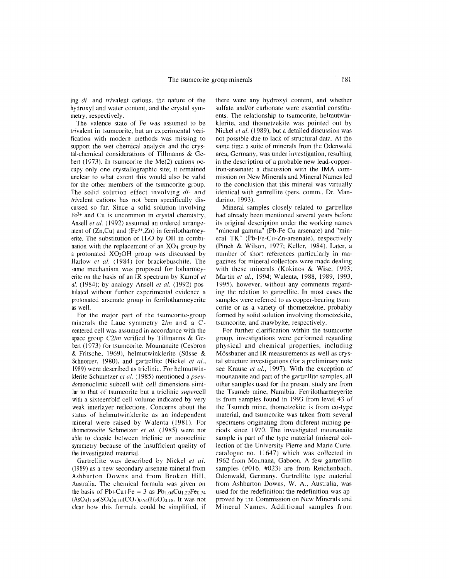ing *di-* and trivalent cations, the nature of the hydroxyl and water content, and the crystal symmetry, respectively.

The valence state of Fe was assumed to be *trivalent* in tsumcorite, but an experimental verification with modern methods was missing to support the wet chemical analysis and the crystal-chemical considerations of Tillmanns & Gebert (1973). In tsumcorite the Me(2) cations occupy only one crystallographic site; it remained unclear to what extent this would also be valid for the other members of the tsumcorite group. The solid solution effect involving *di-* and trivalent cations has not been specifically discussed so far. Since a solid solution involving Fe<sup>3+</sup> and Cu is uncommon in crystal chemistry, Ansell *et al.* (1992) assumed an ordered arrangement of  $(Zn,Cu)$  and  $(Fe^{3+},Zn)$  in ferrilotharmeyerite. The substitution of  $H<sub>2</sub>O$  by OH in combination with the replacement of an X04 group by a protonated X030H group was discussed by Harlow *et al.* (1984) for brackebuschite. The same mechanism was proposed for lotharmeyerite on the basis of an IR spectrum by Kampf *et al.* (1984); by analogy Ansell *et al.* (1992) postulated without further experimental evidence a protonated arsenate group in ferrilotharmeyerite as well.

For the major part of the tsumcorite-group minerals the Laue symmetry *2/m* and a Ccentered cell was assumed in accordance with the space group *C2/m* verified by Tillmanns & Gebert (1973) for tsumcorite. Mounanaite (Cesbron & Fritsche, 1969), helmutwinklerite (Süsse & Schnorrer, 1980), and gartrellite (Nickel et al., 1989) were described as triclinic. For helmutwinklerite Schmetzer *et al.* (1985) mentioned a *pseudomonoclinic* subceJl with cell dimensions similar to that of tsumcorite but a triclinic *superceJl* with a sixteenfold cell volume indicated by very weak interlayer reflections. Concerns about the status of helmutwinklerite as an independent mineral were raised by Walenta (1981). For thometzekite Schmetzer et al. (1985) were not able to decide between triclinic or monoclinic symmetry because of the insufficient quality of the investigated material.

Gartrellite was described by Nickel *et al.* (1989) as a new secondary arsenate mineral from Ashburton Downs and from Broken Hill, Australia. The chemica] formula was given on the basis of Pb+Cu+Fe = 3 as  $Pb_{1,04}Cu_{1,22}Fe_{0,74}$  $(AsO<sub>4</sub>)<sub>1.88</sub>(SO<sub>4</sub>)<sub>0.10</sub>(CO<sub>3</sub>)<sub>0.54</sub>(H<sub>2</sub>O)<sub>0.18</sub>. It was not$ clear how this formula could be simplified, if there were any hydroxy] content, and whether sulfate and/or carbonate were essential constituents. The relationship to tsumcorite, helmutwinklerite, and thometzekite was pointed out by Nickel *et al.* (1989), but a detailed discussion was not possible due to lack of structural data. At the same time a suite of minerals from the Odenwald area, Germany, was under investigation, resulting in the description of a probable new lead-copperiron-arsenate; a discussion with the IMA commission on New Minerals and Mineral Names led to the concJusion that this mineral was virtuaJly identical with gartrellite (pers. comm., Dr. Mandarino, 1993).

Mineral samples closely related to gartrellite had already been mentioned several years before its original description under the working names "mineral gamma" (Pb-Fe-Cu-arsenate) and "minera] TK" (Pb-Fe-Cu-Zn-arsenate), respectively (Pinch & Wilson, 1977; Keller, 1984). Later, a number of short references particularly in magazines for mineral collectors were made dealing with these minerals (Kokinos & Wise, 1993; Martin et al., 1994; Walenta, 1988, 1989, 1993, ]995), however, without any comments regarding the relation to gartrellite. In most cases the samples were referred to as copper-bearing tsumcorite or as a variety of thometzekite, probably formed by solid solution involving thometzekite, tsumcorite, and mawbyite, respectively.

For further clarification within the tsumcorite group, investigations were performed regarding physical and chemical properties, including Mössbauer and IR measurements as well as crystal structure investigations (for a preliminary note see Krause et al., 1997). With the exception of mounanaite and part of the gartrellite samples, all other samples used for the present study are from the Tsumeb mine, Namibia. Ferrilotharmeyerite is from samples found in 1993 from level 43 of the Tsumeb mine, thometzekite is from co-type material, and tsumcorite was taken from several specimens originating from different mining periods since 1970. The investigated mounanaite sample is part of the type material (mineral collection of the University Pierre and Marie Curie, catalogue no. 11647) which was collected in 1962 from Mounana, Gaboon. A few gartrellite samples (#016, #023) are from Reichenbach, Odenwald, Germany. Gartrellite type material from Ashburton Downs, W. A., Australia, was used for the redefinition; the redefinition was approved by the Commission on New Minerals and Mineral Names. Additiona] samples from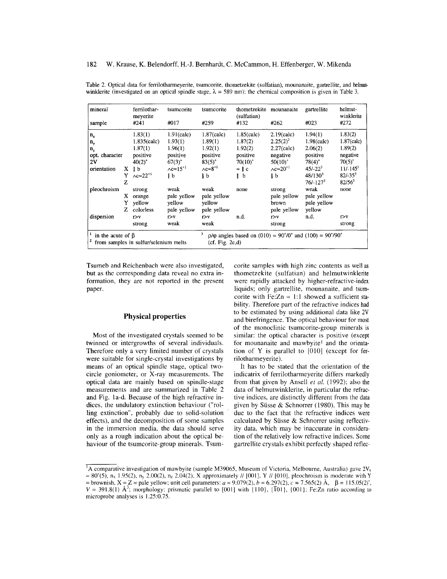| mineral                 |    | ferrilothar-<br>meyerite              | tsumcorite                      | tsumcorite                        | thometzekite mounanaite<br>(sulfatian)                         |                                       | gartrellite   | helmut-<br>winklerite |  |
|-------------------------|----|---------------------------------------|---------------------------------|-----------------------------------|----------------------------------------------------------------|---------------------------------------|---------------|-----------------------|--|
| sample                  |    | #241                                  | #017                            | #259                              | #132                                                           | #262                                  | #023          | #272                  |  |
| $n_{x}$                 |    | 1.83(1)                               | $1.91$ (calc)                   | $1.87$ (calc)                     | $1.85$ (calc)                                                  | $2.19$ (calc)                         | 1.94(1)       | 1.83(2)               |  |
| n,                      |    | $1.835$ (calc)                        | 1.93(1)                         | 1.89(1)                           | 1.87(2)                                                        | $2.25(2)^2$                           | $1.98$ (calc) | $1.87$ (calc)         |  |
| n,                      |    | 1.87(1)                               | 1.96(1)                         | 1.92(1)                           | 1.92(2)                                                        | $2.27$ (calc)                         | 2.06(2)       | 1.89(2)               |  |
| opt. character          |    | positive                              | positive                        | positive                          | positive                                                       | negative                              | positive      | negative              |  |
| 2V                      |    | $40(2)^{\circ}$                       | $67(3)$ °                       | $83(5)$ °                         | $70(10)$ °                                                     | $50(10)$ °                            | 78(4)°        | $70(5)^{\circ}$       |  |
| orientation             | X. | $\parallel$ b                         | $\wedge c \approx 15^{\circ 1}$ | $\Lambda$ c $\approx 8^{\circ 1}$ | $\approx$   c                                                  | $\lambda$ c $\approx$ 20 <sup>°</sup> | $45/-22^{3}$  | $11/-1453$            |  |
|                         |    | $Y \wedge c \approx 22$ <sup>°1</sup> | l b                             | l b                               | $\mathbf{h}$ b                                                 | b                                     | $48/130^{3}$  | $82/-35^3$            |  |
|                         | z  |                                       |                                 |                                   |                                                                |                                       | $76/-1273$    | $82/56^3$             |  |
| pleochroism             |    | strong                                | weak                            | weak                              | none                                                           | strong                                | weak          | none                  |  |
|                         | X. | orange                                | pale yellow                     | pale yellow                       |                                                                | pale yellow                           | pale yellow   |                       |  |
|                         |    | yellow                                | yellow                          | yellow                            |                                                                | brown                                 | pale yellow   |                       |  |
|                         |    | Z colorless                           | pale yellow                     | pale yellow                       |                                                                | pale yellow                           | yellow        |                       |  |
| dispersion              |    | r > v                                 | r > v                           | r > v                             | n.d.                                                           | r > v                                 | n.d.          | r > v                 |  |
|                         |    | strong                                | weak                            | weak                              |                                                                | strong                                |               | strong                |  |
| in the acute of $\beta$ |    | from samples in sulfur/selenium melts |                                 | 3<br>(cf. Fig. 2c,d)              | $\rho/\phi$ angles based on (010) = 90°/0° and (100) = 90°/90° |                                       |               |                       |  |

Table 2. Optical data for ferrilotharmeyerite, tsumcorite, thometzekite (sulfatian), mounanaite, gartrellite, and helmutwinklerite (investigated on an optical spindle stage,  $\lambda = 589$  nm); the chemical composition is given in Table 3.

Tsumeb and Reichenbach were also investigated, but as the corresponding data reveal no extra information, they are not reported in the present paper.

#### **Physical properties**

Most of the investigated crystals seemed to be twinned or intergrowths of several individuals. Therefore only a very limited number of crystals were suitable for single-crystal investigations by means of an optical spindle stage, optical twocircle goniometer, or X-ray measurements. The optical data are mainly based on spindle-stage measurements and are summarized in Table 2 and Fig. 1a-d. Because of the high refractive indices, the undulatory extinction behaviour ("roIling extinction", probably due to solid-solution effects), and the decomposition of some samples in the immersion media, the data should serve only as a rough indication about the optical behaviour of the tsumcorite-group minerals. Tsum-

corite samples with high zinc contents as well as thometzekite (sulfatian) and helmutwinklerite were rapidly attacked by higher-refractive-index liquids; only gartrellite, mounanaite, and tsumcorite with Fe: $Zn \approx 1:1$  showed a sufficient stability. Therefore part of the refractive indices had to be estimated by using additional data like 2V and birefringence. The optical behaviour for most of the monoclinic tsumcorite-group minerals is similar; the optical character is positive (except for mounanaite and mawbyitel and the orientation of Y is parallel to [010] (except for ferrilotharmeyerite ).

It has to be stated that the orientation of the indicatrix of ferrilotharmeyerite differs markedly from that given by Ansell *et al.* (1992); also the data of helmutwinklerite, in particular the refractive indices, are distinctly different from the data given by Süsse  $&$  Schnorrer (1980). This may be due to the fact that the refractive indices were calculated by Siisse & Schnorrer using reflectivity data, which may be inaccurate in consideration of the relatively low refractive indices. Some gartrellite crystals exhibit perfectly shaped reflec-

 $I<sup>1</sup>A$  comparative investigation of mawbyite (sample M39065, Museum of Victoria, Melbourne, Australia) gave 2V<sub>x</sub>  $= 80^{\circ}(5)$ , n<sub>x</sub> 1.95(2), n<sub>y</sub> 2.00(2), n<sub>z</sub> 2.04(2), X approximately *//* [001], Y // [010], pleochroism is moderate with Y  $=$  brownish,  $X = Z =$  pale yellow; unit cell parameters:  $a = 9.079(2)$ ,  $b = 6.297(2)$ ,  $c = 7.565(2)$  Å,  $\beta = 115.05(2)$  $V = 391.8(1)$   $\text{Å}^3$ ; morphology: prismatic parallel to [001] with  $\{110\}$ ,  $\{\overline{1}01\}$ ,  $\{001\}$ ; Fe:Zn ratio according to microprobe analyses is 1.25:0.75.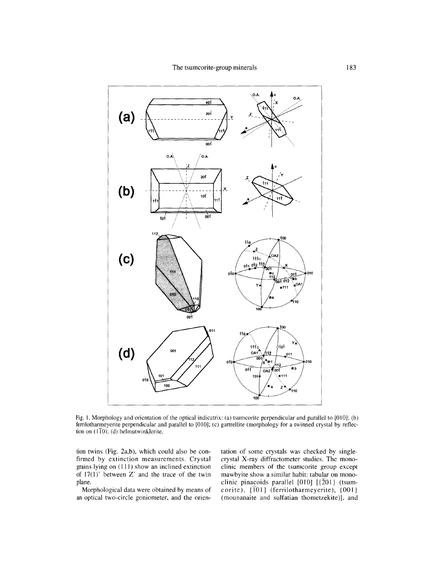

Fig. 1. Morphology and orientation of the optical indicatrix: (a) tsumcorite perpendicular and parallel to [010]; (b) ferrilotharmeyerite perpendicular and parallel to [010]; (c) gartrellite (morphology for a twinned crystal by reflection on  $(1\overline{1}0)$ ; (d) helmutwinklerite.

tion twins (Fig. 2a,b), which could also be confirmed by extinction measurements. Crystal grains lying on (111) show an inclined extinction of  $17(1)$ ° between Z' and the trace of the twin plane.

Morphological data were obtained by means of an optical two-circle goniometer, and the orien-

tation of some crystals was checked by singlecrystal X-ray diffractometer studies. The monoclinic members of the tsumcorite group except mawbyite show a similar habit: tabular on monoclinic pinacoids parallel [010]  $[\overline{2}01]$  (tsumcorite),  $\{ \overline{1}01 \}$  (ferrilotharmeyerite),  $\{ 001 \}$ (mounanaite and sulfatian thometzekite)], and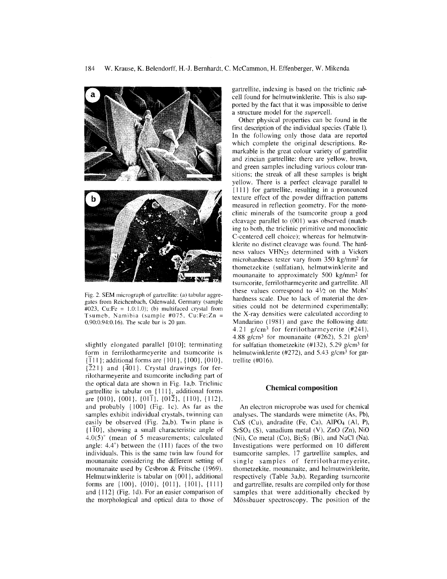

Fig. 2. SEM micrograph of gartrellite: (a) tabular aggregates from Reichenbach, Odenwald, Germany (sample  $\text{\#}023$ , Cu:Fe = 1.0:1.0); (b) multifaced crystal from Tsumeb, Namibia (sample #075, Cu:Fe:Zn  $0.90:0.94:0.16$ . The scale bar is 20  $\mu$ m.

slightly elongated parallel [010]; terminating form in ferrilotharmeyerite and tsumcorite is  $\{\overline{1}11\}$ ; additional forms are  $\{101\}$ ,  $\{100\}$ ,  $\{010\}$ ,  $\{\overline{2}21\}$  and  $\{\overline{4}01\}$ . Crystal drawings for ferrilotharmeyerite and tsumcorite including part of the optical data are shown in Fig. Ia,b. Triclinic gartrellite is tabular on {Ill}, additional forms are  $\{010\}$ ,  $\{001\}$ ,  $\{01\overline{1}\}$ ,  $\{01\overline{2}\}$ ,  $\{110\}$ ,  $\{112\}$ , and probably {IOO} (Fig. Ic). As far as the samples exhibit individual crystals, twinning can easily be observed (Fig. 2a,b). Twin plane is  ${1\overline{10}}$ , showing a small characteristic angle of  $4.0(5)^\circ$  (mean of 5 measurements; calculated angle: 4.4°) between the (111) faces of the two individuals. This is the same twin law found for mounanaite considering the different setting of mounanaite used by Cesbron & Fritsche (1969). Helmutwinklerite is tabular on {OOI}, additional forms are  $\{100\}$ ,  $\{010\}$ ,  $\{011\}$ ,  $\{101\}$ ,  $\{111\}$ and {112} (Fig. Id). For an easier comparison of the morphological and optical data to those of gartrellite, indexing is based on the triclinic *sub*cell found for helmutwinklerite. This is also supported by the fact that it was impossible to derive a structure model for the *supercell.*

Other physical properties can be found in the first description of the individual species (Table 1). In the following only those data are reported which complete the original descriptions. Remarkable is the great colour variety of gartrellite and zincian gartrellite: there are yellow, brown, and green samples including various colour transitions; the streak of all these samples is bright yellow. There is a perfect cleavage parallel to {III} for gartrellite, resulting in a pronounced texture effect of the powder diffraction patterns measured in reflection geometry. For the monoclinic minerals of the tsumcorite group a good cleavage parallel to  $(001)$  was observed (matching to both, the triclinic primitive and monoclinic C-centered cell choice); whereas for helmutwinklerite no distinct cleavage was found. The hardness values VHN25 determined with a Vickers microhardness tester vary from 350 kg/mm2 for thometzekite (sulfatian), helmutwinklerite and mounanaite to approximately 500 kg/mm2 for tsumcorite, ferrilotharmeyerite and gartrellite. All these values correspond to  $4\frac{1}{2}$  on the Mohs' hardness scale. Due to lack of material the densities could not be determined experimentally; the X-ray densities were calculated according to Mandarino (1981) and gave the following data: 4.21 g/cm3 for ferrilotharmeyerite (#241), 4.88 g/cm<sup>3</sup> for mounanaite (#262), 5.21 g/cm<sup>3</sup> for sulfatian thometzekite (#132), 5.29 g/cm3 for helmutwinklerite (#272), and 5.43  $g/cm^3$  for gartrellite (#016).

#### **Chemical composition**

An electron microprobe was used for chemical analyses. The standards were mimetite (As, Pb), CuS (Cu), andradite (Fe, Ca), AIP04 (AI, P), SrS04 (S), vanadium metal (V), ZnO (Zn), NiO (Ni), Co metal  $(Co)$ ,  $Bi<sub>2</sub>S<sub>3</sub>$  (Bi), and NaCl (Na). Investigations were performed on 10 different tsumcorite samples, 17 gartrellite samples, and single samples of ferrilotharmeyerite, thometzekite, mounanaite, and helmutwinklerite, respectively (Table 3a,b). Regarding tsumcorite and gartrellite, results are compiled only for those samples that were additionally checked by Mössbauer spectroscopy. The position of the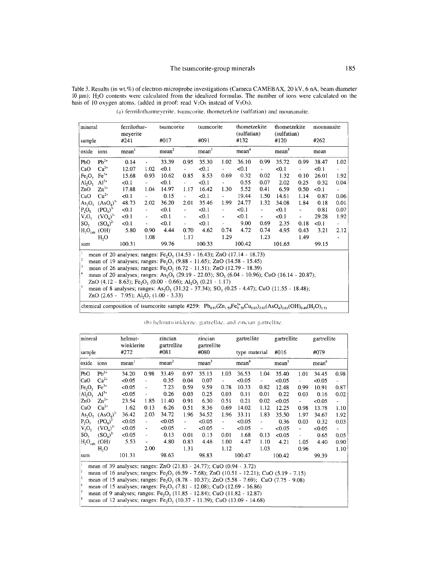Table 3. Results (in wt.%) of electron-microprobe investigations (Cameca CAMEBAX, 20 kV, 6 nA, beam diameter 10 µm); H<sub>2</sub>O contents were calculated from the idealized formulas. The number of ions were calculated on the basis of 10 oxygen atoms. (added in proof: read  $V_2O_5$  instead of  $V_5O_5$ ).

mineral ferrilotharthometzekite thometzekite tsumcorite tsumcorite mounanaite meyerite (sulfatian) (sulfatian) #017 #091 #120 #262 sample #241 #132 oxide ions  $mean<sup>2</sup>$  $mean<sup>3</sup>$  $mean<sup>4</sup>$ mean<sup>5</sup>  $mean<sup>1</sup>$ mean PbO  $Pb^{2+}$ 33.39 0.95 35.30 1.02 36.10 0.99  $0.14$ 35.72 0.99 38.47 1.02  $Ca<sup>2+</sup>$ CaO 12.07  $102$  $< 0.1$  $< 0.1$  $< 0.1$  $< 0.1$  $< 0.1$  $Fe<sub>2</sub>O<sub>3</sub>$   $Fe<sup>3+</sup>$ 15.68 0.93 10.62 0.85 8.53 0.69 0.32 0.02 1.32  $0.10$ 26.01 1.92  $Al_2O_3$   $Al^{3+}$ 0.07 0.55  $< 0.1$  $< 0.1$  $< 0.1$ 2.02 0.25 0.32 0.04  $ZnO$  $Zn^{2+}$ 17.88 1.04 14.97 1.17 16.42 1.30 5.52  $0.41$  $0.50\,$ 6.59  $< 0.1$  $Cu<sup>2+</sup>$  $CuO$  $< 0.1$  $0.15$  $< 0.1$ 19.44 1.50 14.61 0.87 0.06 1.14  $As_2O_5$   $(AsO_4)^3$ 48.73 2.02 36.20 2.01 35.46 1.99 24.77 1.32 34.08  $0.01$ 1.84  $0.18$  $(PO<sub>4</sub>)$  $P_2O_5$  $< 0.1$  $< 0.1$  $< 0.1$  $\overline{\phantom{a}}$  $< 0.1$  $< 0.1$ 0.81 0.07  $V_5O_5$  $(VO<sub>a</sub>)<sup>3</sup>$  $< 0.1$  $\overline{a}$  $< 0.1$  $<0.1$  $< 0.1$  $< 0.1$ 29.28 1.92 9.00 0.69  $0.18$ SO<sub>3</sub>  $(SO_4)^2$  $< 0.1$  $< 0.1$  $< 0.1$ 2.35  $< 0.1$  $H_2O_{calc}$  (OH) 5.80 0.90 4.44 0.70 4.62 0.74 4.72 0.74 4.95 0.43 3.21 2.12  $H<sub>2</sub>O$ 1.08  $1.17$ 1.29 1.23 1.49 100.31 99.76 100.33 100.42 101.65 99.15 sum mean of 20 analyses; ranges:  $Fe<sub>2</sub>O<sub>3</sub>$  (14.53 - 16.43); ZnO (17.14 - 18.73) mean of 19 analyses; ranges: Fe<sub>2</sub>O<sub>3</sub> (9.88 - 11.65); ZnO (14.58 - 15.45) mean of 26 analyses; ranges: Fe<sub>2</sub>O<sub>3</sub> (6.72 - 11.51); ZnO (12.79 - 18.39) mean of 20 analyses; ranges: As<sub>2</sub>O<sub>5</sub> (29.19 - 22.03); SO<sub>3</sub> (6.04 - 10.96); CuO (16.14 - 20.87); ZnO (4.12 - 8.63); Fe<sub>2</sub>O<sub>3</sub> (0.00 - 0.66); Al<sub>2</sub>O<sub>3</sub> (0.21 - 1.17) mean of 8 analyses; ranges: As<sub>2</sub>O<sub>5</sub> (31.32 - 37.34); SO<sub>3</sub> (0.25 - 4.47); CuO (11.55 - 18.48); ZnO  $(2.65 - 7.95)$ ; Al<sub>2</sub>O<sub>3</sub>  $(1.00 - 3.33)$ 

(a) ferrrilotharmeverite, tsumcorite, thometzekite (sulfatian) and mounanaite.

| chemical composition of tsumcorite sample #259: $Pb_{0.97}(Zn_{1.50}Fe_{0.50}^{3+}Cu_{0.03})_{2.03}(AsO_4)_{2.01}(OH)_{0.49}(H_2O)_{1.51}$ |
|--------------------------------------------------------------------------------------------------------------------------------------------|
|                                                                                                                                            |

(b) helmutwinklerite, gartrellite, and zincian gartrellite.

| mineral<br>sample              |                                                                                                                                                                                          | helmut-<br>winklerite<br>#272 |                          | zincian<br>gartrellite<br>#081 |                          | zincian<br>gartrellite |                          | gartrellite       |                          | gartrellite       |                          | gartrellite       |      |
|--------------------------------|------------------------------------------------------------------------------------------------------------------------------------------------------------------------------------------|-------------------------------|--------------------------|--------------------------------|--------------------------|------------------------|--------------------------|-------------------|--------------------------|-------------------|--------------------------|-------------------|------|
|                                |                                                                                                                                                                                          |                               |                          |                                |                          | #080                   |                          | type material     |                          | #016              |                          | #079              |      |
| oxide                          | ions                                                                                                                                                                                     | mean <sup>1</sup>             |                          | mean <sup>2</sup>              |                          | mean <sup>3</sup>      |                          | mean <sup>4</sup> |                          | mean <sup>5</sup> |                          | mean <sup>6</sup> |      |
| lPbO                           | $Pb^{2+}$                                                                                                                                                                                | 34.20                         | 0.98                     | 33.49                          | 0.97                     | 35.13                  | 1.03                     | 36.53             | 1.04                     | 35.40             | 1.01                     | 34.45             | 0.98 |
| CaO                            | $Ca^{2+}$                                                                                                                                                                                | < 0.05                        | $\overline{a}$           | 0.35                           | 0.04                     | 0.07                   | $\overline{\phantom{a}}$ | < 0.05            | $\overline{\phantom{a}}$ | < 0.05            | $\overline{\phantom{a}}$ | < 0.05            |      |
| Fe <sub>2</sub> O <sub>3</sub> | $\text{Fe}^{3+}$                                                                                                                                                                         | < 0.05                        | ÷                        | 7.23                           | 0.59                     | 9.59                   | 0.78                     | 10.33             | 0.82                     | 12.48             | 0.99                     | 10.91             | 0.87 |
| AI <sub>2</sub> O <sub>3</sub> | $Al^{3+}$                                                                                                                                                                                | < 0.05                        | $\overline{\phantom{m}}$ | 0.26                           | 0.03                     | 0.25                   | 0.03                     | 0.11              | 0.01                     | 0.22              | 0.03                     | 0.16              | 0.02 |
| ZnO                            | $Zn^{2+}$                                                                                                                                                                                | 23.54                         | 1.85                     | 11.40                          | 0.91                     | 6.30                   | 0.51                     | 0.21              | 0.02                     | < 0.05            | ÷,                       | < 0.05            | ÷    |
| CuO                            | $Cu2+$                                                                                                                                                                                   | 1.62                          | 0.13                     | 6.26                           | 0.51                     | 8.36                   | 0.69                     | 14.02             | 1.12                     | 12.25             | 0.98                     | 13.78             | 1.10 |
| As <sub>2</sub> O <sub>5</sub> | (ASO <sub>4</sub> ) <sup>3</sup>                                                                                                                                                         | 36.42                         | 2.03                     | 34.72                          | 1.96                     | 34.52                  | 1.96                     | 33.11             | 1.83                     | 35.50             | 1.97                     | 34.67             | 1.92 |
| $P_2O_5$                       | (PO <sub>4</sub> ) <sup>3</sup>                                                                                                                                                          | < 0.05                        | $\overline{\phantom{a}}$ | < 0.05                         | $\blacksquare$           | < 0.05                 | $\overline{\phantom{0}}$ | < 0.05            | ٠                        | 0.36              | 0.03                     | 0.32              | 0.03 |
| $V_5O_5$                       | $(VO_4)^{3-}$                                                                                                                                                                            | < 0.05                        | $\overline{\phantom{a}}$ | <0.05                          | $\overline{\phantom{a}}$ | < 0.05                 | ÷,                       | < 0.05            | $\overline{\phantom{a}}$ | < 0.05            | $\blacksquare$           | < 0.05            |      |
| SO <sub>3</sub>                | $(SO_4)^2$                                                                                                                                                                               | < 0.05                        | $\overline{\phantom{a}}$ | 0.13                           | 0.01                     | 0.13                   | 0.01                     | 1.68              | 0.13                     | < 0.05            | ÷,                       | 0.65              | 0.05 |
|                                | $H_2O_{calc}$ (OH)                                                                                                                                                                       | 5.53                          | $\overline{\phantom{a}}$ | 4.80                           | 0.83                     | 4.48                   | 1.00                     | 4.47              | 1.10                     | 4.21              | 1.05                     | 4.40              | 0.90 |
|                                | H <sub>2</sub> O                                                                                                                                                                         |                               | 2.00                     |                                | 1.31                     |                        | 1.12                     |                   | 1.03                     |                   | 0.96                     |                   | 1.10 |
| sum                            |                                                                                                                                                                                          | 101.31                        |                          | 98.63                          |                          | 98.83                  |                          | 100.47            |                          | 100.42            |                          | 99.39             |      |
| $\mathbf i$<br>2               | mean of 39 analyses; ranges: ZnO (21.83 - 24.77); CuO (0.94 - 3.72)<br>mean of 16 analyses; ranges: Fe <sub>2</sub> O <sub>3</sub> (6.59 - 7.68); ZnO (10.51 - 12.21); CuO (5.19 - 7.15) |                               |                          |                                |                          |                        |                          |                   |                          |                   |                          |                   |      |
| 3                              | mean of 15 analyses; ranges: Fe <sub>2</sub> O <sub>3</sub> (8.78 - 10.37); ZnO (5.58 - 7.69); CuO (7.75 - 9.08)                                                                         |                               |                          |                                |                          |                        |                          |                   |                          |                   |                          |                   |      |
| 4                              | mean of 15 analyses; ranges: Fe, $O_3$ (7.81 - 12.08); CuO (12.69 - 16.86)                                                                                                               |                               |                          |                                |                          |                        |                          |                   |                          |                   |                          |                   |      |
| l 5                            | mean of 9 analyses; ranges: Fe <sub>2</sub> O <sub>3</sub> (11.85 - 12.84); CuO (11.82 - 12.87)                                                                                          |                               |                          |                                |                          |                        |                          |                   |                          |                   |                          |                   |      |
| 6                              | mean of 12 analyses; ranges: Fe <sub>2</sub> O <sub>3</sub> (10.37 - 11.39); CuO (13.09 - 14.68)                                                                                         |                               |                          |                                |                          |                        |                          |                   |                          |                   |                          |                   |      |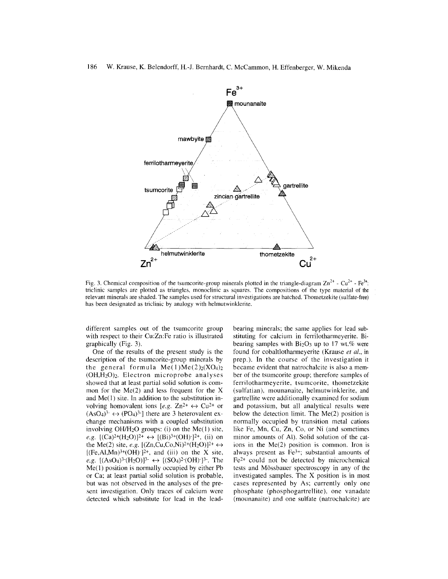

Fig. 3. Chemical composition of the tsumcorite-group minerals plotted in the triangle-diagram  $\text{Zn}^{2+}$  -  $\text{Cu}^{2+}$  -  $\text{Fe}^{3+}$ : triclinic samples are plotted as triangles, monoclinic as squares. The compositions of the type material of the relevant minerals are shaded. The samples used for structural investigations are hatched. Thometzekite (sulfate-free) has been designated as triclinic by analogy with helmutwinklerite.

different samples out of the tsumcorite group with respect to their Cu:Zn:Fe ratio is illustrated graphically (Fig. 3).

One of the results of the present study is the description of the tsumcorite-group minerals by the general formula  $Me(1)Me(2)_{2}(XO_{4})_{2}$  $(OH, H<sub>2</sub>O)<sub>2</sub>$ . Electron microprobe analyses showed that at least partial solid solution is common for the  $Me(2)$  and less frequent for the X and  $Me(1)$  site. In addition to the substitution involving homovalent ions  $[e.g. Zn^{2+} \leftrightarrow Cu^{2+} \text{ or }$  $(AsO<sub>4</sub>)<sup>3-</sup> \leftrightarrow (PO<sub>4</sub>)<sup>3-</sup>$ ] there are 3 heterovalent exchange mechanisms with a coupled substitution involving *OHIH20* groups: (i) on the Me( I) site, *e.g.*  $[(Ca)^{2+}(H_2O)]^{2+} \leftrightarrow [(Bi)^{3+}(OH)^{-}]^{2+}$ , (ii) on the Me(2) site, *e.g.*  $[(Zn, Cu, Co, Ni)^{2+}(H_2O)]^{2+} \leftrightarrow$  $[(Fe, Al, Mn)<sup>3+(OH)</sup>]$ <sup>2+</sup>, and (iii) on the X site, *e.g.*  $[(AsO<sub>4</sub>)<sup>3</sup>-(H<sub>2</sub>O)]<sup>3</sup>$   $\leftrightarrow$   $[(SO<sub>4</sub>)<sup>2</sup>(OH)<sup>-</sup>]<sup>3</sup>$ . The Me(1) position is normally occupied by either Pb or Ca; at least partial solid solution is probable, but was not observed in the analyses of the present investigation. Only traces of calcium were detected which substitute for lead in the leadbearing minerals; the same applies for lead substituting for calcium in ferrilotharmeyerite. Bibearing samples with  $Bi<sub>2</sub>O<sub>3</sub>$  up to 17 wt.% were found for cobaltlotharmeyerite (Krause *et al.,* in prep.). In the course of the investigation it became evident that natrochalcite is also a member of the tsumcorite group; therefore samples of ferrilotharmeyerite, tsumcorite, thometzekite (sulfatian), mounanaite, helmutwinklerite, and gartrellite were additionally examined for sodium and potassium, but all analytical results were below the detection limit. The Me(2) position is normally occupied by transition metal cations like Fe, Mn, Cu, Zn, Co, or Ni (and sometimes minor amounts of AI). Solid solution of the cations in the Me(2) position is common. Iron is always present as Fe3+; substantial amounts of Fe2+ could not be detected by microchemical tests and Mossbauer spectroscopy in any of the investigated samples. The X position is in most cases represented by As; currently only one phosphate (phosphogartreIlite), one vanadate (mounanaite) and one sulfate (natrochalcite) are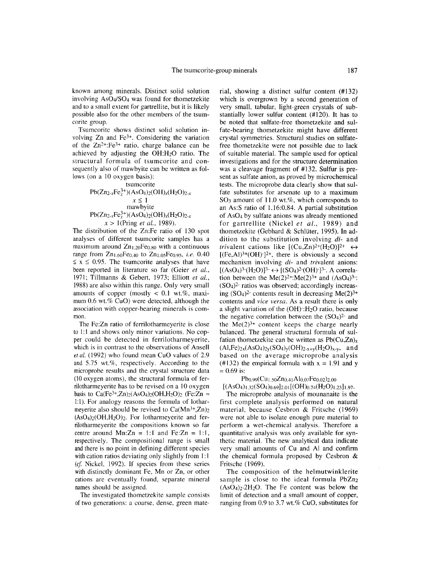known among minerals. Distinct solid solution involving  $AsO<sub>4</sub>/SO<sub>4</sub>$  was found for thometzekite and to a small extent for gartrellite, but it is likely possible also for the other members of the tsumcorite group.

Tsumcorite shows distinct solid solution involving Zn and Fe3+. Considering the variation of the  $Zn^{2+}$ : Fe<sup>3+</sup> ratio, charge balance can be achieved by adjusting the OH:H<sub>2</sub>O ratio. The structural formula of tsumcorite and consequently also of mawbyite can be written as follows (on a 10 oxygen basis):

Pb(Zn2-xFe~+)(AS04 h( 0 H)x(H20 *h-x x:S;* I mawbyite *Pb(Zn2-xFe~+)(*AS04 h( 0 H)x(H20 *h-x x* > I(Pring et ai., *1989).*

tsum of the correct

The distribution of the Zn:Fe ratio of 130 spot analyses of different tsumcorite samples has a maximum around  $Zn_{1,20}Fe_{0.80}$  with a continuous range from Zn<sub>1.60</sub>Fe<sub>0.40</sub> to Zn<sub>1.05</sub>Fe<sub>0.95</sub>, *i.e.* 0.40  $\leq x \leq 0.95$ . The tsumcorite analyses that have been reported in literature so far (Geier et al., 1971; Tillmanns & Gebert, 1973; Elliott *et ai.,* 1988) are also within this range. Only very small amounts of copper (mostly  $< 0.1$  wt.%, maximum 0.6 wt.% CuO) were detected, although the association with copper-bearing minerals is common.

The Fe:Zn ratio of ferrilotharmeyerite is close to 1:1 and shows only minor variations. No copper could be detected in ferrilotharmeyerite, which is in contrast to the observations of Ansell *et al.* (1992) who found mean CuO values of 2.9 and 5.75 wt.%, respectively. According to the microprobe results and the crystal structure data (10 oxygen atoms), the structural formula of ferrilotharmeyerite has to be revised on a 10 oxygen basis to Ca(Fe<sup>3+</sup>,Zn)<sub>2</sub>(AsO<sub>4</sub>)<sub>2</sub>(OH,H<sub>2</sub>O)<sub>2</sub> (Fe:Zn  $\approx$  1:1). For analogy reasons the formula of lotharmeyerite also should be revised to  $Ca(Mn^{3+},Zn)_2$  $(AsO<sub>4</sub>)<sub>2</sub>(OH,H<sub>2</sub>O)<sub>2</sub>$ . For lotharmeyerite and ferrilotharmeyerite the compositions known so far centre around Mn: $Zn = 1:1$  and Fe: $Zn = 1:1$ , respectively. The compositional range is small and there is no point in defining different species with cation ratios deviating only slightly from  $1:1$ *(ef* Nickel, 1992). If species from these series with distinctly dominant Fe, Mn or Zn, or other cations are eventually found, separate mineral names should be assigned.

The investigated thometzekite sample consists of two generations: a coarse, dense, green material, showing a distinct sulfur content (#132) which is overgrown by a second generation of very small, tabular, light-green crystals of substantially lower sulfur content (#120). It has to be noted that sulfate-free thometzekite and sulfate-bearing thometzekite might have different crystal symmetries. Structural studies on sulfatefree thometzekite were not possible due to lack of suitable material. The sample used for optical investigations and for the structure determination was a cleavage fragment of #132. Sulfur is present as sulfate anion, as proved by microchemical tests. The microprobe data clearly show that sulfate substitutes for arsenate up to a maximum *S03* amount of 11.0 wt.%, which corresponds to an As:S ratio of 1.16:0.84. A partial substitution of AS04 by sulfate anions was already mentioned for gartrellite (Nickel et al., 1989) and thometzekite (Gebhard & Schlüter, 1995). In addition to the substitution involving *di-* and trivalent cations like  $[(Cu,Zn)^{2+(H_2O)}]^{2+} \leftrightarrow$  $[(Fe, Al)<sup>3+</sup>(OH)<sup>-</sup>]<sup>2+</sup>$ , there is obviously a second mechanism involving *di-* and *trivalent* anions:  $[(AsO<sub>4</sub>)<sup>3</sup>-(H<sub>2</sub>O)]<sup>3</sup>$   $\leftrightarrow$   $[(SO<sub>4</sub>)<sup>2</sup>(OH)<sup>-</sup>]<sup>3</sup>$ . A correlation between the Me $(2)^{2+}$ :Me $(2)^{3+}$  and  $(AsO<sub>4</sub>)<sup>3-</sup>$ :  $(SO<sub>4</sub>)<sup>2</sup>$  ratios was observed; accordingly increasing  $(SO_4)^2$ - contents result in decreasing Me $(2)^3$ <sup>+</sup> contents and *vice versa.* As a result there is only a slight variation of the (OH)-:H20 ratio, because the negative correlation between the *(S04)2-* and the  $Me(2)^{3+}$  content keeps the charge nearly balanced. The general structural formula of sulfatian thometzekite can be written as  $Pb(Cu,Zn)_x$  $(AI,Fe)_{2x}(AsO<sub>4</sub>)_{2y}(SO<sub>4</sub>)_{y}(OH)_{2-x+y}(H<sub>2</sub>O)_{x-y}$ , and based on the average microprobe analysis (#132) the empirical formula with  $x = 1.91$  and y  $= 0.69$  is:

 $Pb_{0.99}(Cu_{1.50}Zn_{0.41}Al_{0.07}Fe_{0.02})_{2.00}$ 

 $[(AsO<sub>4</sub>)<sub>1</sub>32(SO<sub>4</sub>)<sub>0.69</sub>]$ 

The microprobe analysis of mounanaite is the first complete analysis performed on natural material, because Cesbron & Fritsche (1969) were not able to isolate enough pure material to perform a wet-chemical analysis. Therefore a quantitative analysis was only available for synthetic material. The new analytical data indicate very small amounts of Cu and AI and confirm the chemical formula proposed by Cesbron & Fritsche (1969).

The composition of the helmutwinklerite sample is close to the ideal formula PbZn<sub>2</sub>  $(AsO<sub>4</sub>)<sub>2</sub>·2H<sub>2</sub>O$ . The Fe content was below the limit of detection and a small amount of copper, ranging from 0.9 to 3.7 wt.% CuO, substitutes for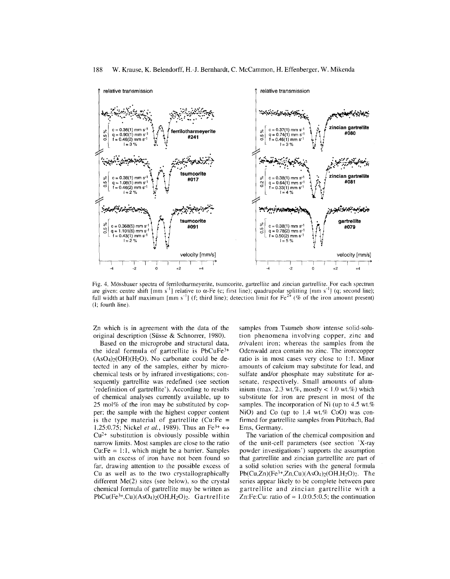

Fig. 4. Mbssbauer spectra of ferrilotharmeyerite, tsumcorite, gartrellite and zincian gartrellite. For each spectrum are given: centre shift [mm s<sup>-1</sup>] relative to  $\alpha$ -Fe (c; first line); quadrupolar splitting [mm s<sup>-1</sup>] (q; second line) full width at half maximum [mm s<sup>-i</sup>] (f; third line); detection limit for  $Fe^{2+}$  (% of the iron amount present (I; fourth line).

Zn which is in agreement with the data of the original description (Siisse & Schnorrer, 1980).

Based on the microprobe and structural data, the ideal formula of gartrellite is PbCuFe<sup>3+</sup>  $(AsO<sub>4</sub>)<sub>2</sub>(OH)(H<sub>2</sub>O)$ . No carbonate could be detected in any of the samples, either by microchemica] tests or by infrared investigations; consequently gartrellite was redefined (see section 'redefinition of gartrellite'). According to results of chemica] analyses currently available, up to 25 mol% of the iron may be substituted by copper; the sample with the highest copper content is the type material of gartrellite  $(Cu)$ : Fe = 1.25:0.75; Nickel *et al.*, 1989). Thus an Fe<sup>3+</sup>  $\leftrightarrow$ Cu2+ substitution is obviously possible within narrow limits. Most samples are close to the ratio  $Cu:Fe = 1:1$ , which might be a barrier. Samples with an excess of iron have not been found so far, drawing attention to the possible excess of Cu as well as to the two crystallographically different Me(2) sites (see below), so the crystal chemica] formula of gartrellite may be written as PbCu(Fe<sup>3+</sup>,Cu)(AsO<sub>4</sub>)<sub>2</sub>(OH,H<sub>2</sub>O)<sub>2</sub>. Gartrellite

samples from Tsumeb show intense solid-solution phenomena involving copper, zinc and trivalent iron; whereas the samples from the Odenwa]d area contain no zinc. The iron:copper ratio is in most cases very close to ]:]. Minor amounts of calcium may substitute for lead, and sulfate and/or phosphate may substitute for arsenate, respectively. Small amounts of aluminium (max. 2.3 wt.%, mostly  $< 1.0$  wt.%) which substitute for iron are present in most of the samples. The incorporation of Ni (up to 4.5 wt.%) NiO) and Co (up to  $1.4$  wt.% CoO) was confirmed for gartrellite samples from Piitzbach, Bad Ems, Germany.

The variation of the chemical composition and of the unit-cell parameters (see section 'X-ray powder investigations') supports the assumption that gartrellite and zincian gartrellite are part of a solid solution series with the general formula  $Pb(Cu,Zn)(Fe<sup>3+</sup>,Zn,Cu)(AsO<sub>4</sub>)<sub>2</sub>(OH,H<sub>2</sub>O)<sub>2</sub>. The$ series appear likely to be complete between pure gartrellite and zincian gartrellite with a Zn:Fe:Cu: ratio of  $\approx 1.0:0.5:0.5$ ; the continuation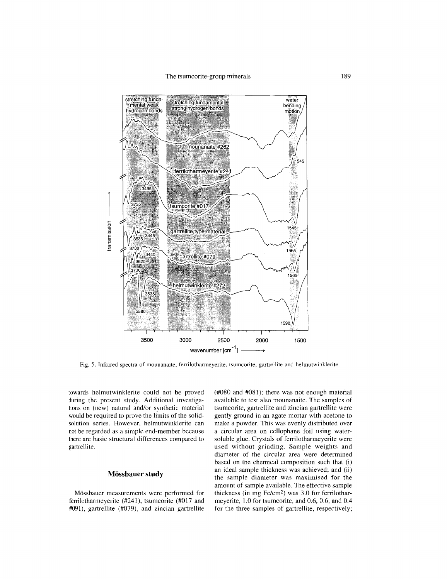

Fig. 5. Infrared spectra of mounanaite, ferrilotharmeyerite, tsumcorite, gartrellite and helmutwinklerite.

towards helmutwinklerite could not be proved during the present study. Additional investigations on (new) natural and/or synthetic material would be required to prove the limits of the solidsolution series. However, helmutwinklerite can not be regarded as a simple end-member because there are basic structural differences compared to gartrellite.

# **Mossbauer study**

Mossbauer measurements were performed for ferrilotharmeyerite (#241), tsumcorite (#017 and #091), gartrellite (#079), and zincian gartrellite (#080 and #081); there was not enough material available to test also mounanaite. The samples of tsumcorite, gartrellite and zincian gartrellite were gently ground in an agate mortar with acetone to make a powder. This was evenly distributed over a circular area on cellophane foil using watersoluble glue. Crystals of ferrilotharmeyerite were used without grinding. Sample weights and diameter of the circular area were determined based on the chemical composition such that (i) an ideal sample thickness was achieved; and (ii) the sample diameter was maximised for the amount of sample available. The effective sample thickness (in mg Fe/cm2) was 3.0 for ferrilotharmeyerite, 1.0 for tsumcorite, and 0.6, 0.6, and 0.4 for the three samples of gartrellite, respectively;